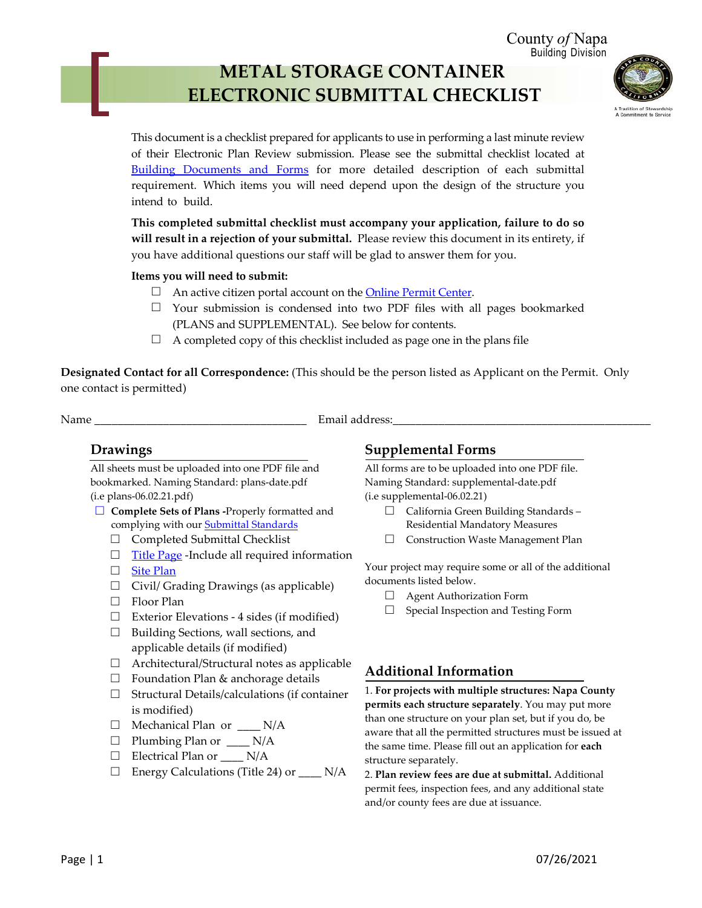County *of* Napa Building Division

# **METAL STORAGE CONTAINER ELECTRONIC SUBMITTAL CHECKLIST**



This document is a checklist prepared for applicants to use in performing a last minute review of their Electronic Plan Review submission. Please see the submittal checklist located at [Building Documents and Forms](https://www.countyofnapa.org/1890/Building-Documents) for more detailed description of each submittal requirement. Which items you will need depend upon the design of the structure you intend to build.

**This completed submittal checklist must accompany your application, failure to do so will result in a rejection of your submittal.** Please review this document in its entirety, if you have additional questions our staff will be glad to answer them for you.

#### **Items you will need to submit:**

- $\Box$  An active citizen portal account on the **Online Permit Center**.
- $\Box$  Your submission is condensed into two PDF files with all pages bookmarked (PLANS and SUPPLEMENTAL). See below for contents.
- $\Box$  A completed copy of this checklist included as page one in the plans file

**Designated Contact for all Correspondence:** (This should be the person listed as Applicant on the Permit. Only one contact is permitted)

Name \_\_\_\_\_\_\_\_\_\_\_\_\_\_\_\_\_\_\_\_\_\_\_\_\_\_\_\_\_\_\_\_\_\_\_\_\_ Email address:\_\_\_\_\_\_\_\_\_\_\_\_\_\_\_\_\_\_\_\_\_\_\_\_\_\_\_\_\_\_\_\_\_\_\_\_\_\_\_\_\_\_\_\_\_

### **Drawings**

All sheets must be uploaded into one PDF file and bookmarked. Naming Standard: plans-date.pdf (i.e plans-06.02.21.pdf)

- □ **Complete Sets of Plans -**Properly formatted and complying with our **[Submittal Standards](https://www.countyofnapa.org/DocumentCenter/View/21510/Submittal-Standards)** 
	- □ Completed Submittal Checklist
	- □ [Title Page](https://www.countyofnapa.org/DocumentCenter/View/3620/Title-Page-Requirements-PDF) -Include all required information
	- □ [Site Plan](https://www.countyofnapa.org/DocumentCenter/View/20486/Sample-Site-Plan-for-Express-or-Quick-Permits-PDF)
	- □ Civil/ Grading Drawings (as applicable)
	- □ Floor Plan
	- □ Exterior Elevations 4 sides (if modified)
	- □ Building Sections, wall sections, and applicable details (if modified)
	- $\Box$  Architectural/Structural notes as applicable
	- $\Box$  Foundation Plan & anchorage details
	- □ Structural Details/calculations (if container is modified)
	- □ Mechanical Plan or  $\rule{1em}{0.15mm}$  N/A
	- $\Box$  Plumbing Plan or  $\Box$  N/A
	- □ Electrical Plan or \_\_\_\_ N/A
	- □ Energy Calculations (Title 24) or \_\_\_\_ N/A

## **Supplemental Forms**

All forms are to be uploaded into one PDF file. Naming Standard: supplemental-date.pdf (i.e supplemental-06.02.21)

- □ California Green Building Standards Residential Mandatory Measures
- □ Construction Waste Management Plan

Your project may require some or all of the additional documents listed below.

- $\Box$  Agent Authorization Form
- □ Special Inspection and Testing Form

## **Additional Information**

1. **For projects with multiple structures: Napa County permits each structure separately**. You may put more than one structure on your plan set, but if you do, be aware that all the permitted structures must be issued at the same time. Please fill out an application for **each** structure separately.

2. **Plan review fees are due at submittal.** Additional permit fees, inspection fees, and any additional state and/or county fees are due at issuance.